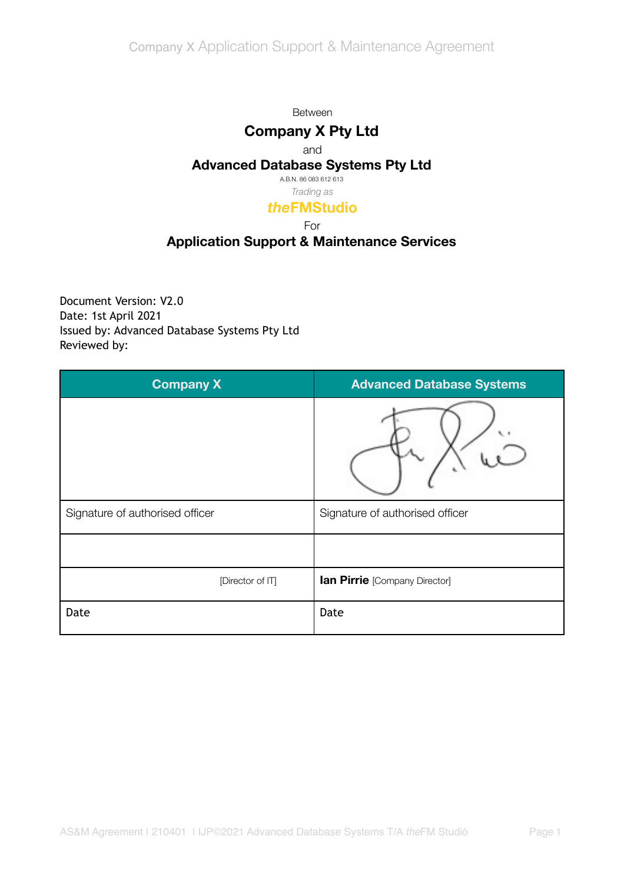#### Between

# **Company X Pty Ltd**

#### and

### **Advanced Database Systems Pty Ltd**

A.B.N. 86 083 612 613 *Trading as*

## *the***FMStudio**

#### For

# **Application Support & Maintenance Services**

Document Version: V2.0 Date: 1st April 2021 Issued by: Advanced Database Systems Pty Ltd Reviewed by:

| <b>Company X</b>                | <b>Advanced Database Systems</b> |
|---------------------------------|----------------------------------|
|                                 |                                  |
| Signature of authorised officer | Signature of authorised officer  |
|                                 |                                  |
| [Director of IT]                | lan Pirrie [Company Director]    |
| Date                            | Date                             |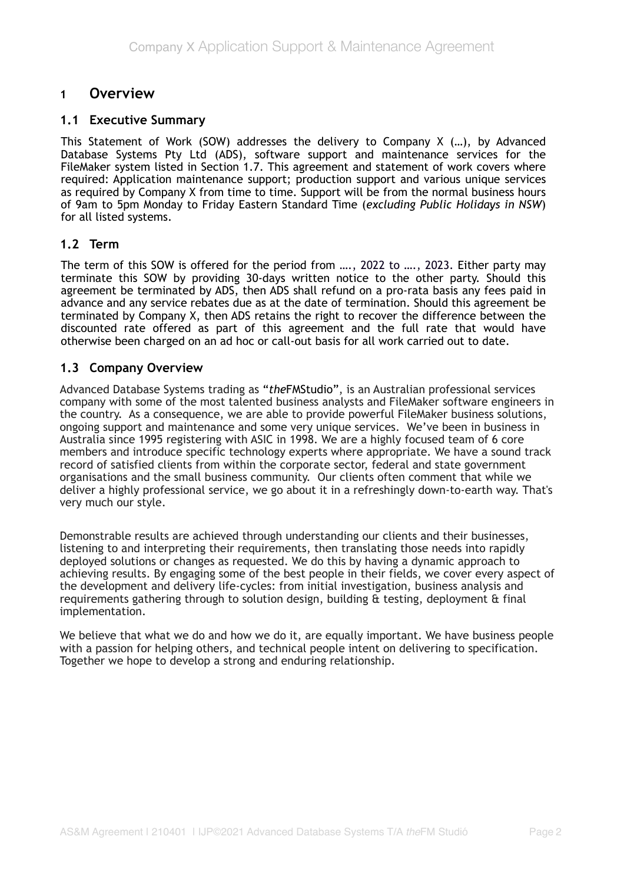## **1 Overview**

#### **1.1 Executive Summary**

This Statement of Work (SOW) addresses the delivery to Company X (…), by Advanced Database Systems Pty Ltd (ADS), software support and maintenance services for the FileMaker system listed in Section 1.7. This agreement and statement of work covers where required: Application maintenance support; production support and various unique services as required by Company X from time to time. Support will be from the normal business hours of 9am to 5pm Monday to Friday Eastern Standard Time (*excluding Public Holidays in NSW*) for all listed systems.

#### **1.2 Term**

The term of this SOW is offered for the period from …., 2022 to …., 2023. Either party may terminate this SOW by providing 30-days written notice to the other party. Should this agreement be terminated by ADS, then ADS shall refund on a pro-rata basis any fees paid in advance and any service rebates due as at the date of termination. Should this agreement be terminated by Company X, then ADS retains the right to recover the difference between the discounted rate offered as part of this agreement and the full rate that would have otherwise been charged on an ad hoc or call-out basis for all work carried out to date.

### **1.3 Company Overview**

Advanced Database Systems trading as "*the*FMStudio", is an Australian professional services company with some of the most talented business analysts and FileMaker software engineers in the country. As a consequence, we are able to provide powerful FileMaker business solutions, ongoing support and maintenance and some very unique services. We've been in business in Australia since 1995 registering with ASIC in 1998. We are a highly focused team of 6 core members and introduce specific technology experts where appropriate. We have a sound track record of satisfied clients from within the corporate sector, federal and state government organisations and the small business community. Our clients often comment that while we deliver a highly professional service, we go about it in a refreshingly down-to-earth way. That's very much our style.

Demonstrable results are achieved through understanding our clients and their businesses, listening to and interpreting their requirements, then translating those needs into rapidly deployed solutions or changes as requested. We do this by having a dynamic approach to achieving results. By engaging some of the best people in their fields, we cover every aspect of the development and delivery life-cycles: from initial investigation, business analysis and requirements gathering through to solution design, building  $\hat{a}$  testing, deployment  $\hat{a}$  final implementation.

We believe that what we do and how we do it, are equally important. We have business people with a passion for helping others, and technical people intent on delivering to specification. Together we hope to develop a strong and enduring relationship.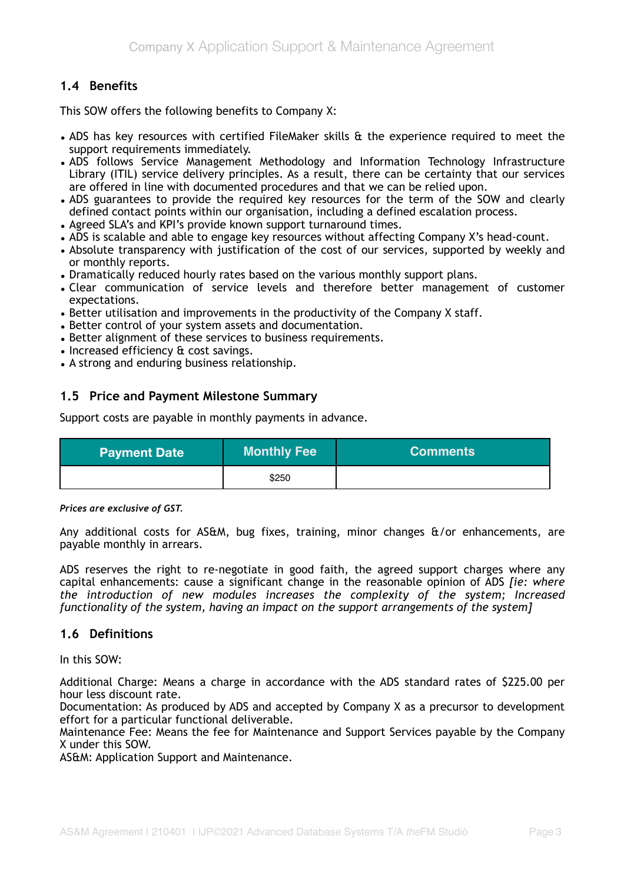## **1.4 Benefits**

This SOW offers the following benefits to Company X:

- ADS has key resources with certified FileMaker skills & the experience required to meet the support requirements immediately.
- ADS follows Service Management Methodology and Information Technology Infrastructure Library (ITIL) service delivery principles. As a result, there can be certainty that our services are offered in line with documented procedures and that we can be relied upon.
- ADS guarantees to provide the required key resources for the term of the SOW and clearly defined contact points within our organisation, including a defined escalation process.
- Agreed SLA's and KPI's provide known support turnaround times.
- ADS is scalable and able to engage key resources without affecting Company X's head-count.
- Absolute transparency with justification of the cost of our services, supported by weekly and or monthly reports.
- Dramatically reduced hourly rates based on the various monthly support plans.
- Clear communication of service levels and therefore better management of customer expectations.
- Better utilisation and improvements in the productivity of the Company X staff.
- Better control of your system assets and documentation.
- Better alignment of these services to business requirements.
- Increased efficiency & cost savings.
- A strong and enduring business relationship.

### **1.5 Price and Payment Milestone Summary**

Support costs are payable in monthly payments in advance.

| <b>Payment Date</b> | <b>Monthly Fee</b> | <b>Comments</b> |
|---------------------|--------------------|-----------------|
|                     | \$250              |                 |

*Prices are exclusive of GST.*

Any additional costs for AS&M, bug fixes, training, minor changes &/or enhancements, are payable monthly in arrears.

ADS reserves the right to re-negotiate in good faith, the agreed support charges where any capital enhancements: cause a significant change in the reasonable opinion of ADS *[ie: where the introduction of new modules increases the complexity of the system; Increased functionality of the system, having an impact on the support arrangements of the system]*

#### **1.6 Definitions**

In this SOW:

Additional Charge: Means a charge in accordance with the ADS standard rates of \$225.00 per hour less discount rate.

Documentation: As produced by ADS and accepted by Company X as a precursor to development effort for a particular functional deliverable.

Maintenance Fee: Means the fee for Maintenance and Support Services payable by the Company X under this SOW.

AS&M: Application Support and Maintenance.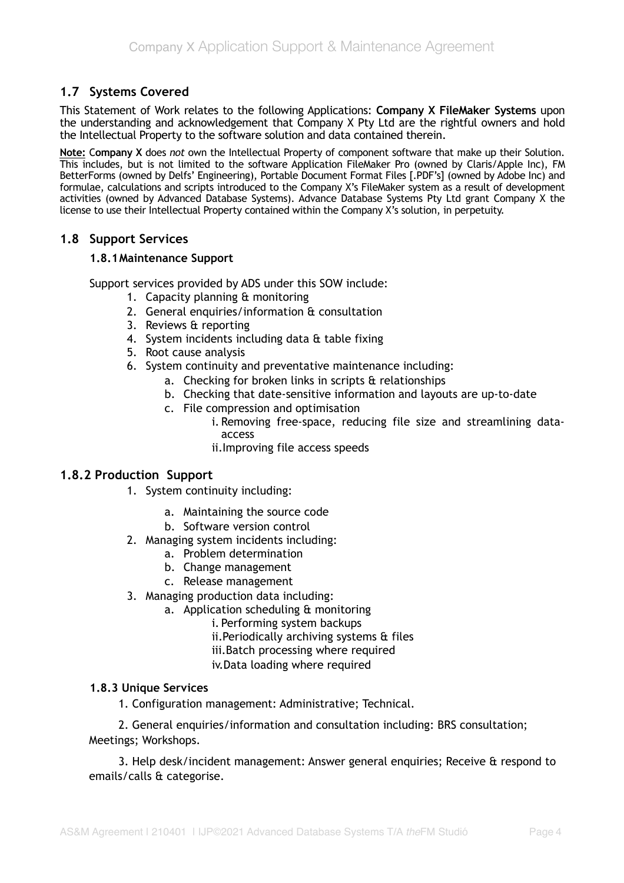## **1.7 Systems Covered**

This Statement of Work relates to the following Applications: **Company X FileMaker Systems** upon the understanding and acknowledgement that Company X Pty Ltd are the rightful owners and hold the Intellectual Property to the software solution and data contained therein.

**Note:** C**ompany X** does *not* own the Intellectual Property of component software that make up their Solution. This includes, but is not limited to the software Application FileMaker Pro (owned by Claris/Apple Inc), FM BetterForms (owned by Delfs' Engineering), Portable Document Format Files [.PDF's] (owned by Adobe Inc) and formulae, calculations and scripts introduced to the Company X's FileMaker system as a result of development activities (owned by Advanced Database Systems). Advance Database Systems Pty Ltd grant Company X the license to use their Intellectual Property contained within the Company X's solution, in perpetuity.

### **1.8 Support Services**

#### **1.8.1 Maintenance Support**

Support services provided by ADS under this SOW include:

- 1. Capacity planning & monitoring
- 2. General enquiries/information & consultation
- 3. Reviews & reporting
- 4. System incidents including data & table fixing
- 5. Root cause analysis
- 6. System continuity and preventative maintenance including:
	- a. Checking for broken links in scripts & relationships
	- b. Checking that date-sensitive information and layouts are up-to-date
	- c. File compression and optimisation
		- i. Removing free-space, reducing file size and streamlining dataaccess
		- ii.Improving file access speeds

### **1.8.2 Production Support**

- 1. System continuity including:
	- a. Maintaining the source code
	- b. Software version control
- 2. Managing system incidents including:
	- a. Problem determination
	- b. Change management
	- c. Release management
- 3. Managing production data including:
	- a. Application scheduling & monitoring
		- i. Performing system backups
		- ii.Periodically archiving systems & files
		- iii.Batch processing where required
		- iv.Data loading where required

#### **1.8.3 Unique Services**

1. Configuration management: Administrative; Technical.

2. General enquiries/information and consultation including: BRS consultation; Meetings; Workshops.

3. Help desk/incident management: Answer general enquiries; Receive & respond to emails/calls & categorise.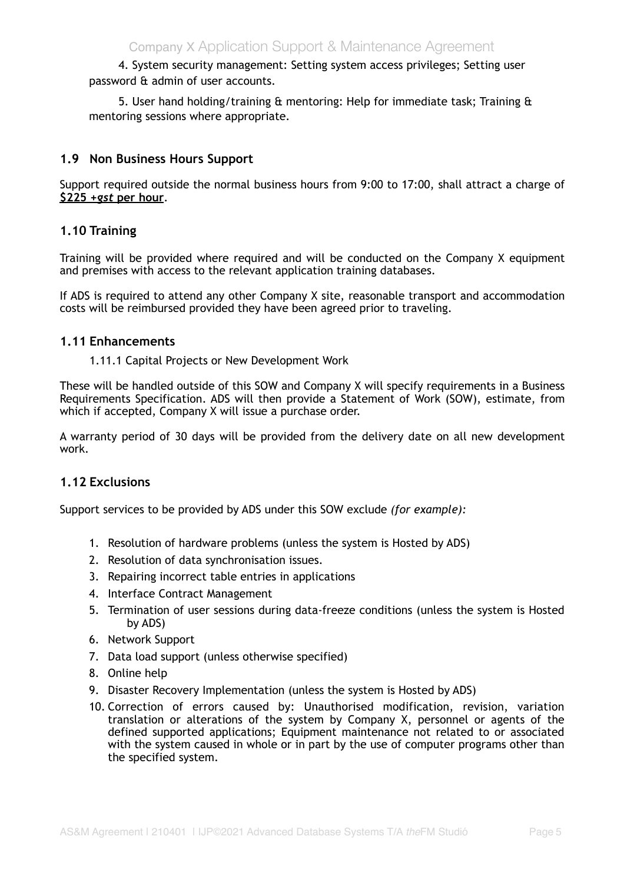4. System security management: Setting system access privileges; Setting user password & admin of user accounts.

5. User hand holding/training & mentoring: Help for immediate task; Training & mentoring sessions where appropriate.

### **1.9 Non Business Hours Support**

Support required outside the normal business hours from 9:00 to 17:00, shall attract a charge of **\$225** *+gst* **per hour**.

### **1.10 Training**

Training will be provided where required and will be conducted on the Company X equipment and premises with access to the relevant application training databases.

If ADS is required to attend any other Company X site, reasonable transport and accommodation costs will be reimbursed provided they have been agreed prior to traveling.

#### **1.11 Enhancements**

1.11.1 Capital Projects or New Development Work

These will be handled outside of this SOW and Company X will specify requirements in a Business Requirements Specification. ADS will then provide a Statement of Work (SOW), estimate, from which if accepted, Company X will issue a purchase order.

A warranty period of 30 days will be provided from the delivery date on all new development work.

### **1.12 Exclusions**

Support services to be provided by ADS under this SOW exclude *(for example):*

- 1. Resolution of hardware problems (unless the system is Hosted by ADS)
- 2. Resolution of data synchronisation issues.
- 3. Repairing incorrect table entries in applications
- 4. Interface Contract Management
- 5. Termination of user sessions during data-freeze conditions (unless the system is Hosted by ADS)
- 6. Network Support
- 7. Data load support (unless otherwise specified)
- 8. Online help
- 9. Disaster Recovery Implementation (unless the system is Hosted by ADS)
- 10. Correction of errors caused by: Unauthorised modification, revision, variation translation or alterations of the system by Company X, personnel or agents of the defined supported applications; Equipment maintenance not related to or associated with the system caused in whole or in part by the use of computer programs other than the specified system.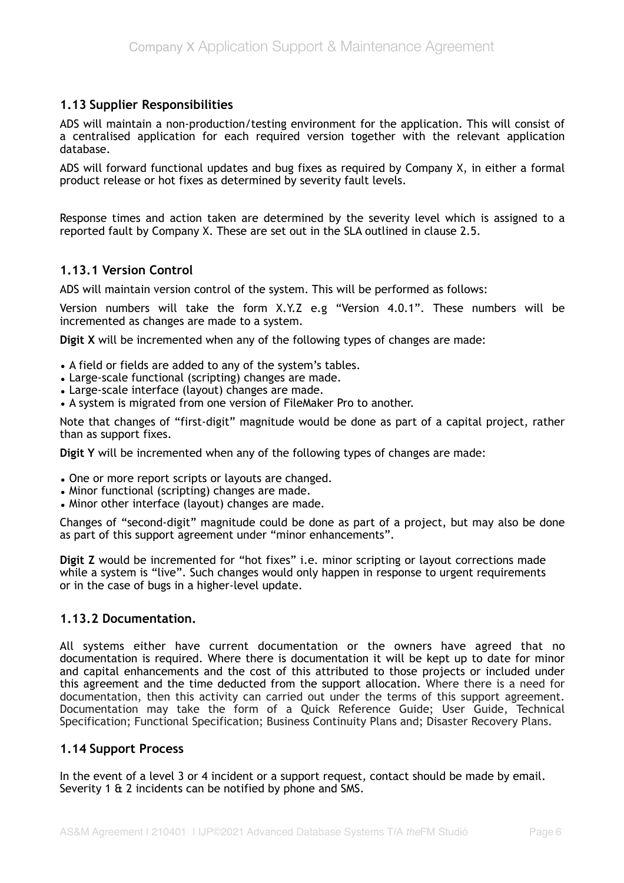### **1.13 Supplier Responsibilities**

ADS will maintain a non-production/testing environment for the application. This will consist of a centralised application for each required version together with the relevant application database.

ADS will forward functional updates and bug fixes as required by Company X, in either a formal product release or hot fixes as determined by severity fault levels.

Response times and action taken are determined by the severity level which is assigned to a reported fault by Company X. These are set out in the SLA outlined in clause 2.5.

### **1.13.1 Version Control**

ADS will maintain version control of the system. This will be performed as follows:

Version numbers will take the form X.Y.Z e.g "Version 4.0.1". These numbers will be incremented as changes are made to a system.

**Digit X** will be incremented when any of the following types of changes are made:

- A field or fields are added to any of the system's tables.
- Large-scale functional (scripting) changes are made.
- Large-scale interface (layout) changes are made.
- A system is migrated from one version of FileMaker Pro to another.

Note that changes of "first-digit" magnitude would be done as part of a capital project, rather than as support fixes.

**Digit Y** will be incremented when any of the following types of changes are made:

- One or more report scripts or layouts are changed.
- Minor functional (scripting) changes are made.
- Minor other interface (layout) changes are made.

Changes of "second-digit" magnitude could be done as part of a project, but may also be done as part of this support agreement under "minor enhancements".

**Digit Z** would be incremented for "hot fixes" i.e. minor scripting or layout corrections made while a system is "live". Such changes would only happen in response to urgent requirements or in the case of bugs in a higher-level update.

### **1.13.2 Documentation.**

All systems either have current documentation or the owners have agreed that no documentation is required. Where there is documentation it will be kept up to date for minor and capital enhancements and the cost of this attributed to those projects or included under this agreement and the time deducted from the support allocation. Where there is a need for documentation, then this activity can carried out under the terms of this support agreement. Documentation may take the form of a Quick Reference Guide; User Guide, Technical Specification; Functional Specification; Business Continuity Plans and; Disaster Recovery Plans.

### **1.14 Support Process**

In the event of a level 3 or 4 incident or a support request, contact should be made by email. Severity 1 & 2 incidents can be notified by phone and SMS.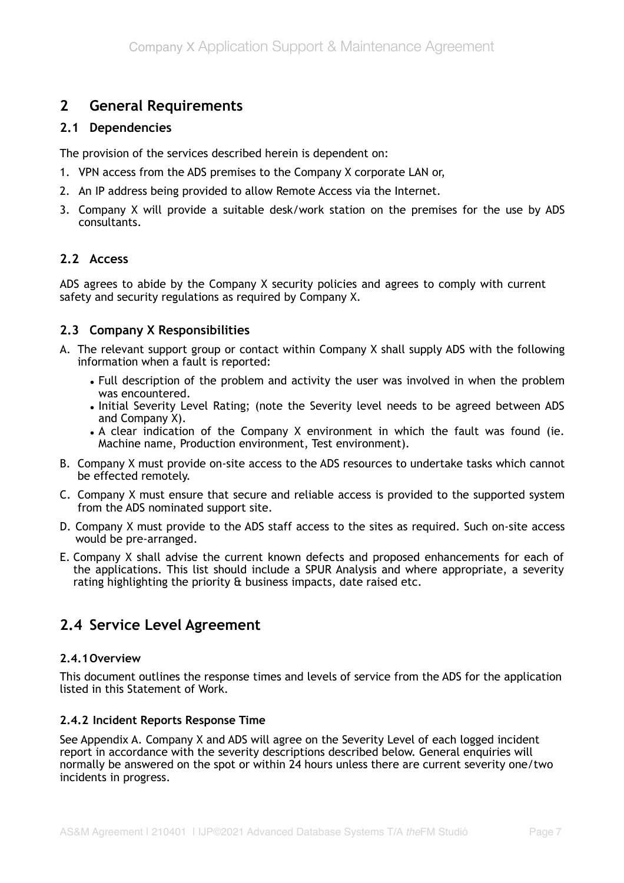# **2 General Requirements**

## **2.1 Dependencies**

The provision of the services described herein is dependent on:

- 1. VPN access from the ADS premises to the Company X corporate LAN or,
- 2. An IP address being provided to allow Remote Access via the Internet.
- 3. Company X will provide a suitable desk/work station on the premises for the use by ADS consultants.

## **2.2 Access**

ADS agrees to abide by the Company X security policies and agrees to comply with current safety and security regulations as required by Company X.

## **2.3 Company X Responsibilities**

- A. The relevant support group or contact within Company X shall supply ADS with the following information when a fault is reported:
	- Full description of the problem and activity the user was involved in when the problem was encountered.
	- Initial Severity Level Rating; (note the Severity level needs to be agreed between ADS and Company X).
	- A clear indication of the Company X environment in which the fault was found (ie. Machine name, Production environment, Test environment).
- B. Company X must provide on-site access to the ADS resources to undertake tasks which cannot be effected remotely.
- C. Company X must ensure that secure and reliable access is provided to the supported system from the ADS nominated support site.
- D. Company X must provide to the ADS staff access to the sites as required. Such on-site access would be pre-arranged.
- E. Company X shall advise the current known defects and proposed enhancements for each of the applications. This list should include a SPUR Analysis and where appropriate, a severity rating highlighting the priority & business impacts, date raised etc.

# **2.4 Service Level Agreement**

### **2.4.1 Overview**

This document outlines the response times and levels of service from the ADS for the application listed in this Statement of Work.

### **2.4.2 Incident Reports Response Time**

See Appendix A. Company X and ADS will agree on the Severity Level of each logged incident report in accordance with the severity descriptions described below. General enquiries will normally be answered on the spot or within 24 hours unless there are current severity one/two incidents in progress.